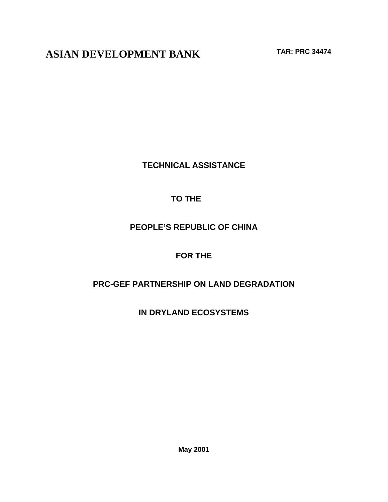**ASIAN DEVELOPMENT BANK TAR: PRC 34474**

**TECHNICAL ASSISTANCE**

# **TO THE**

## **PEOPLE'S REPUBLIC OF CHINA**

# **FOR THE**

## **PRC-GEF PARTNERSHIP ON LAND DEGRADATION**

**IN DRYLAND ECOSYSTEMS**

**May 2001**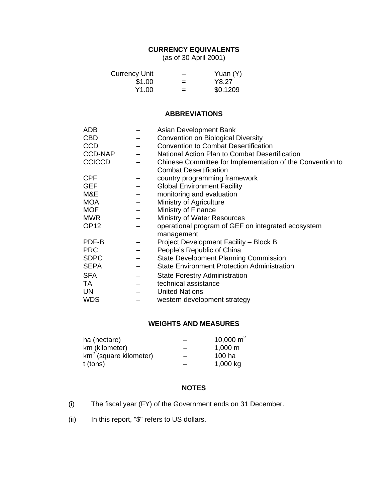## **CURRENCY EQUIVALENTS**

(as of 30 April 2001)

| Currency Unit |     | Yuan (Y) |
|---------------|-----|----------|
| \$1.00        | $=$ | Y8.27    |
| Y1.00         | $=$ | \$0.1209 |

#### **ABBREVIATIONS**

| <b>ADB</b>       |                          | Asian Development Bank                                    |
|------------------|--------------------------|-----------------------------------------------------------|
| <b>CBD</b>       |                          | <b>Convention on Biological Diversity</b>                 |
| <b>CCD</b>       |                          | <b>Convention to Combat Desertification</b>               |
| <b>CCD-NAP</b>   |                          | National Action Plan to Combat Desertification            |
| <b>CCICCD</b>    |                          | Chinese Committee for Implementation of the Convention to |
|                  |                          | <b>Combat Desertification</b>                             |
| <b>CPF</b>       |                          | country programming framework                             |
| <b>GEF</b>       |                          | <b>Global Environment Facility</b>                        |
| M&E              | $\equiv$                 | monitoring and evaluation                                 |
| <b>MOA</b>       |                          | Ministry of Agriculture                                   |
| <b>MOF</b>       |                          | Ministry of Finance                                       |
| <b>MWR</b>       | $\overline{\phantom{0}}$ | Ministry of Water Resources                               |
| OP <sub>12</sub> |                          | operational program of GEF on integrated ecosystem        |
|                  |                          | management                                                |
| PDF-B            |                          | Project Development Facility - Block B                    |
| <b>PRC</b>       |                          | People's Republic of China                                |
| <b>SDPC</b>      |                          | <b>State Development Planning Commission</b>              |
| <b>SEPA</b>      |                          | <b>State Environment Protection Administration</b>        |
| <b>SFA</b>       |                          | <b>State Forestry Administration</b>                      |
| TA.              |                          | technical assistance                                      |
| UN               |                          | <b>United Nations</b>                                     |
| <b>WDS</b>       |                          | western development strategy                              |
|                  |                          |                                                           |

### **WEIGHTS AND MEASURES**

| ha (hectare)             | 10,000 $m^2$        |
|--------------------------|---------------------|
| km (kilometer)           | $1,000 \; \text{m}$ |
| $km2$ (square kilometer) | 100 ha              |
| t (tons)                 | 1,000 kg            |

### **NOTES**

- (i) The fiscal year (FY) of the Government ends on 31 December.
- (ii) In this report, "\$" refers to US dollars.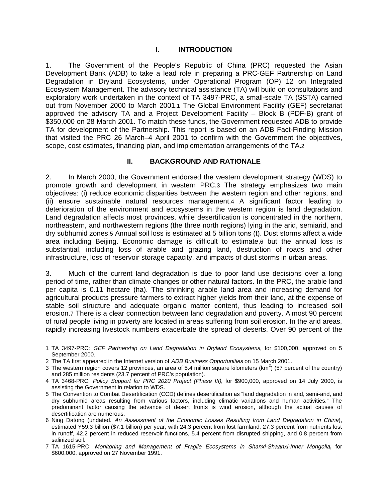#### **I. INTRODUCTION**

1. The Government of the People's Republic of China (PRC) requested the Asian Development Bank (ADB) to take a lead role in preparing a PRC-GEF Partnership on Land Degradation in Dryland Ecosystems, under Operational Program (OP) 12 on Integrated Ecosystem Management. The advisory technical assistance (TA) will build on consultations and exploratory work undertaken in the context of TA 3497-PRC, a small-scale TA (SSTA) carried out from November 2000 to March 2001.1 The Global Environment Facility (GEF) secretariat approved the advisory TA and a Project Development Facility – Block B (PDF-B) grant of \$350,000 on 28 March 2001. To match these funds, the Government requested ADB to provide TA for development of the Partnership. This report is based on an ADB Fact-Finding Mission that visited the PRC 26 March–4 April 2001 to confirm with the Government the objectives, scope, cost estimates, financing plan, and implementation arrangements of the TA.2

#### **II. BACKGROUND AND RATIONALE**

2. In March 2000, the Government endorsed the western development strategy (WDS) to promote growth and development in western PRC.3 The strategy emphasizes two main objectives: (i) reduce economic disparities between the western region and other regions, and (ii) ensure sustainable natural resources management.4 A significant factor leading to deterioration of the environment and ecosystems in the western region is land degradation. Land degradation affects most provinces, while desertification is concentrated in the northern, northeastern, and northwestern regions (the three north regions) lying in the arid, semiarid, and dry subhumid zones.5 Annual soil loss is estimated at 5 billion tons (t). Dust storms affect a wide area including Beijing. Economic damage is difficult to estimate,6 but the annual loss is substantial, including loss of arable and grazing land, destruction of roads and other infrastructure, loss of reservoir storage capacity, and impacts of dust storms in urban areas.

3. Much of the current land degradation is due to poor land use decisions over a long period of time, rather than climate changes or other natural factors. In the PRC, the arable land per capita is 0.11 hectare (ha). The shrinking arable land area and increasing demand for agricultural products pressure farmers to extract higher yields from their land, at the expense of stable soil structure and adequate organic matter content, thus leading to increased soil erosion.7 There is a clear connection between land degradation and poverty. Almost 90 percent of rural people living in poverty are located in areas suffering from soil erosion. In the arid areas, rapidly increasing livestock numbers exacerbate the spread of deserts. Over 90 percent of the

 $\overline{a}$ 

<sup>1</sup> TA 3497-PRC: GEF Partnership on Land Degradation in Dryland Ecosystems, for \$100,000, approved on 5 September 2000.

<sup>2</sup> The TA first appeared in the Internet version of ADB Business Opportunities on 15 March 2001.

<sup>3</sup> The western region covers 12 provinces, an area of 5.4 million square kilometers (km<sup>2</sup>) (57 percent of the country) and 285 million residents (23.7 percent of PRC's population).

<sup>4</sup> TA 3468-PRC: Policy Support for PRC 2020 Project (Phase III), for \$900,000, approved on 14 July 2000, is assisting the Government in relation to WDS.

<sup>5</sup> The Convention to Combat Desertification (CCD) defines desertification as "land degradation in arid, semi-arid, and dry subhumid areas resulting from various factors, including climatic variations and human activities." The predominant factor causing the advance of desert fronts is wind erosion, although the actual causes of desertification are numerous.

<sup>6</sup> Ning Datong (undated. An Assessment of the Economic Losses Resulting from Land Degradation in China), estimated Y59.3 billion (\$7.1 billion) per year, with 24.3 percent from lost farmland, 27.3 percent from nutrients lost in runoff, 42.2 percent in reduced reservoir functions, 5.4 percent from disrupted shipping, and 0.8 percent from salinized soil.

<sup>7</sup> TA 1615-PRC: Monitoring and Management of Fragile Ecosystems in Shanxi-Shaanxi-Inner Mongolia**,** for \$600,000, approved on 27 November 1991.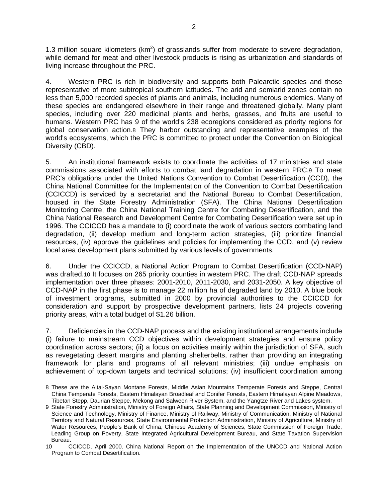1.3 million square kilometers ( $km<sup>2</sup>$ ) of grasslands suffer from moderate to severe degradation, while demand for meat and other livestock products is rising as urbanization and standards of living increase throughout the PRC.

4. Western PRC is rich in biodiversity and supports both Palearctic species and those representative of more subtropical southern latitudes. The arid and semiarid zones contain no less than 5,000 recorded species of plants and animals, including numerous endemics. Many of these species are endangered elsewhere in their range and threatened globally. Many plant species, including over 220 medicinal plants and herbs, grasses, and fruits are useful to humans. Western PRC has 9 of the world's 238 ecoregions considered as priority regions for global conservation action.8 They harbor outstanding and representative examples of the world's ecosystems, which the PRC is committed to protect under the Convention on Biological Diversity (CBD).

5. An institutional framework exists to coordinate the activities of 17 ministries and state commissions associated with efforts to combat land degradation in western PRC.9 To meet PRC's obligations under the United Nations Convention to Combat Desertification (CCD), the China National Committee for the Implementation of the Convention to Combat Desertification (CCICCD) is serviced by a secretariat and the National Bureau to Combat Desertification, housed in the State Forestry Administration (SFA). The China National Desertification Monitoring Centre, the China National Training Centre for Combating Desertification, and the China National Research and Development Centre for Combating Desertification were set up in 1996. The CCICCD has a mandate to (i) coordinate the work of various sectors combating land degradation, (ii) develop medium and long-term action strategies, (iii) prioritize financial resources, (iv) approve the guidelines and policies for implementing the CCD, and (v) review local area development plans submitted by various levels of governments.

6. Under the CCICCD, a National Action Program to Combat Desertification (CCD-NAP) was drafted.10 It focuses on 265 priority counties in western PRC. The draft CCD-NAP spreads implementation over three phases: 2001-2010, 2011-2030, and 2031-2050. A key objective of CCD-NAP in the first phase is to manage 22 million ha of degraded land by 2010. A blue book of investment programs, submitted in 2000 by provincial authorities to the CCICCD for consideration and support by prospective development partners, lists 24 projects covering priority areas, with a total budget of \$1.26 billion.

7. Deficiencies in the CCD-NAP process and the existing institutional arrangements include (i) failure to mainstream CCD objectives within development strategies and ensure policy coordination across sectors; (ii) a focus on activities mainly within the jurisdiction of SFA, such as revegetating desert margins and planting shelterbelts, rather than providing an integrating framework for plans and programs of all relevant ministries; (iii) undue emphasis on achievement of top-down targets and technical solutions; (iv) insufficient coordination among

 8 These are the Altai-Sayan Montane Forests, Middle Asian Mountains Temperate Forests and Steppe, Central China Temperate Forests, Eastern Himalayan Broadleaf and Conifer Forests, Eastern Himalayan Alpine Meadows, Tibetan Stepp, Daurian Steppe, Mekong and Salween River System, and the Yangtze River and Lakes system.

<sup>9</sup> State Forestry Administration, Ministry of Foreign Affairs, State Planning and Development Commission, Ministry of Science and Technology, Ministry of Finance, Ministry of Railway, Ministry of Communication, Ministry of National Territory and Natural Resources, State Environmental Protection Administration, Ministry of Agriculture, Ministry of Water Resources, People's Bank of China, Chinese Academy of Sciences, State Commission of Foreign Trade, Leading Group on Poverty, State Integrated Agricultural Development Bureau, and State Taxation Supervision Bureau.

<sup>10</sup> CCICCD. April 2000. China National Report on the Implementation of the UNCCD and National Action Program to Combat Desertification.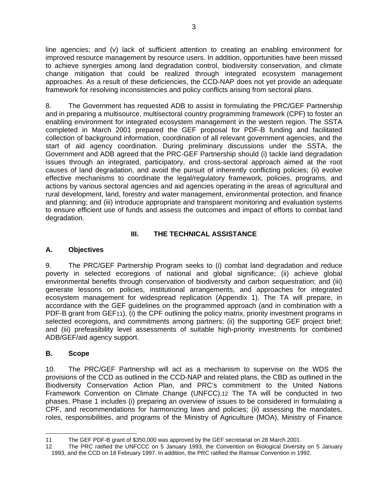line agencies; and (v) lack of sufficient attention to creating an enabling environment for improved resource management by resource users. In addition, opportunities have been missed to achieve synergies among land degradation control, biodiversity conservation, and climate change mitigation that could be realized through integrated ecosystem management approaches. As a result of these deficiencies, the CCD-NAP does not yet provide an adequate framework for resolving inconsistencies and policy conflicts arising from sectoral plans.

8. The Government has requested ADB to assist in formulating the PRC/GEF Partnership and in preparing a multisource, multisectoral country programming framework (CPF) to foster an enabling environment for integrated ecosystem management in the western region. The SSTA completed in March 2001 prepared the GEF proposal for PDF-B funding and facilitated collection of background information, coordination of all relevant government agencies, and the start of aid agency coordination. During preliminary discussions under the SSTA, the Government and ADB agreed that the PRC-GEF Partnership should (i) tackle land degradation issues through an integrated, participatory, and cross-sectoral approach aimed at the root causes of land degradation, and avoid the pursuit of inherently conflicting policies; (ii) evolve effective mechanisms to coordinate the legal/regulatory framework, policies, programs, and actions by various sectoral agencies and aid agencies operating in the areas of agricultural and rural development, land, forestry and water management, environmental protection, and finance and planning; and (iii) introduce appropriate and transparent monitoring and evaluation systems to ensure efficient use of funds and assess the outcomes and impact of efforts to combat land degradation.

## **III. THE TECHNICAL ASSISTANCE**

## **A. Objectives**

9. The PRC/GEF Partnership Program seeks to (i) combat land degradation and reduce poverty in selected ecoregions of national and global significance; (ii) achieve global environmental benefits through conservation of biodiversity and carbon sequestration; and (iii) generate lessons on policies, institutional arrangements, and approaches for integrated ecosystem management for widespread replication (Appendix 1). The TA will prepare, in accordance with the GEF guidelines on the programmed approach (and in combination with a PDF-B grant from GEF11), (i) the CPF outlining the policy matrix, priority investment programs in selected ecoregions, and commitments among partners; (ii) the supporting GEF project brief; and (iii) prefeasibility level assessments of suitable high-priority investments for combined ADB/GEF/aid agency support.

## **B. Scope**

10. The PRC/GEF Partnership will act as a mechanism to supervise on the WDS the provisions of the CCD as outlined in the CCD-NAP and related plans, the CBD as outlined in the Biodiversity Conservation Action Plan, and PRC's commitment to the United Nations Framework Convention on Climate Change (UNFCC).12 The TA will be conducted in two phases. Phase 1 includes (i) preparing an overview of issues to be considered in formulating a CPF, and recommendations for harmonizing laws and policies; (ii) assessing the mandates, roles, responsibilities, and programs of the Ministry of Agriculture (MOA), Ministry of Finance

 11 The GEF PDF-B grant of \$350,000 was approved by the GEF secretariat on 28 March 2001.

<sup>12</sup> The PRC ratified the UNFCCC on 5 January 1993, the Convention on Biological Diversity on 5 January 1993, and the CCD on 18 February 1997. In addition, the PRC ratified the Ramsar Convention in 1992.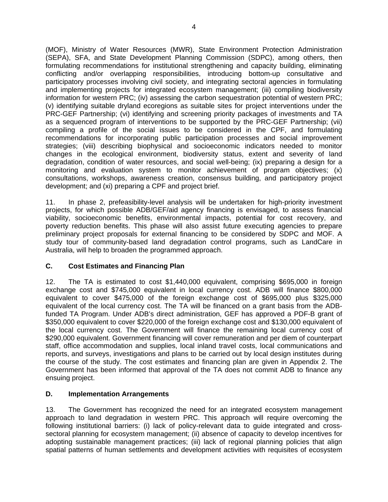(MOF), Ministry of Water Resources (MWR), State Environment Protection Administration (SEPA), SFA, and State Development Planning Commission (SDPC), among others, then formulating recommendations for institutional strengthening and capacity building, eliminating conflicting and/or overlapping responsibilities, introducing bottom-up consultative and participatory processes involving civil society, and integrating sectoral agencies in formulating and implementing projects for integrated ecosystem management; (iii) compiling biodiversity information for western PRC; (iv) assessing the carbon sequestration potential of western PRC; (v) identifying suitable dryland ecoregions as suitable sites for project interventions under the PRC-GEF Partnership; (vi) identifying and screening priority packages of investments and TA as a sequenced program of interventions to be supported by the PRC-GEF Partnership; (vii) compiling a profile of the social issues to be considered in the CPF, and formulating recommendations for incorporating public participation processes and social improvement strategies; (viii) describing biophysical and socioeconomic indicators needed to monitor changes in the ecological environment, biodiversity status, extent and severity of land degradation, condition of water resources, and social well-being; (ix) preparing a design for a monitoring and evaluation system to monitor achievement of program objectives; (x) consultations, workshops, awareness creation, consensus building, and participatory project development; and (xi) preparing a CPF and project brief.

11. In phase 2, prefeasibility-level analysis will be undertaken for high-priority investment projects, for which possible ADB/GEF/aid agency financing is envisaged, to assess financial viability, socioeconomic benefits, environmental impacts, potential for cost recovery, and poverty reduction benefits. This phase will also assist future executing agencies to prepare preliminary project proposals for external financing to be considered by SDPC and MOF. A study tour of community-based land degradation control programs, such as LandCare in Australia, will help to broaden the programmed approach.

## **C. Cost Estimates and Financing Plan**

12. The TA is estimated to cost \$1,440,000 equivalent, comprising \$695,000 in foreign exchange cost and \$745,000 equivalent in local currency cost. ADB will finance \$800,000 equivalent to cover \$475,000 of the foreign exchange cost of \$695,000 plus \$325,000 equivalent of the local currency cost. The TA will be financed on a grant basis from the ADBfunded TA Program. Under ADB's direct administration, GEF has approved a PDF-B grant of \$350,000 equivalent to cover \$220,000 of the foreign exchange cost and \$130,000 equivalent of the local currency cost. The Government will finance the remaining local currency cost of \$290,000 equivalent. Government financing will cover remuneration and per diem of counterpart staff, office accommodation and supplies, local inland travel costs, local communications and reports, and surveys, investigations and plans to be carried out by local design institutes during the course of the study. The cost estimates and financing plan are given in Appendix 2. The Government has been informed that approval of the TA does not commit ADB to finance any ensuing project.

## **D. Implementation Arrangements**

13. The Government has recognized the need for an integrated ecosystem management approach to land degradation in western PRC. This approach will require overcoming the following institutional barriers: (i) lack of policy-relevant data to guide integrated and crosssectoral planning for ecosystem management; (ii) absence of capacity to develop incentives for adopting sustainable management practices; (iii) lack of regional planning policies that align spatial patterns of human settlements and development activities with requisites of ecosystem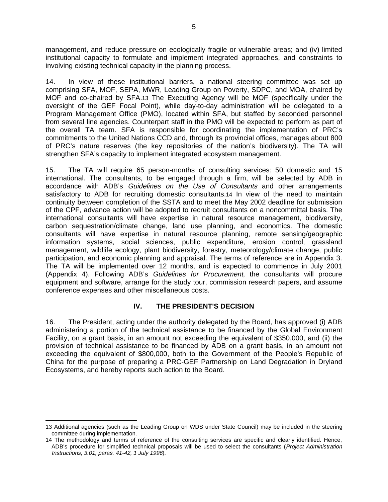management, and reduce pressure on ecologically fragile or vulnerable areas; and (iv) limited institutional capacity to formulate and implement integrated approaches, and constraints to involving existing technical capacity in the planning process.

14. In view of these institutional barriers, a national steering committee was set up comprising SFA, MOF, SEPA, MWR, Leading Group on Poverty, SDPC, and MOA, chaired by MOF and co-chaired by SFA.13 The Executing Agency will be MOF (specifically under the oversight of the GEF Focal Point), while day-to-day administration will be delegated to a Program Management Office (PMO), located within SFA, but staffed by seconded personnel from several line agencies. Counterpart staff in the PMO will be expected to perform as part of the overall TA team. SFA is responsible for coordinating the implementation of PRC's commitments to the United Nations CCD and, through its provincial offices, manages about 800 of PRC's nature reserves (the key repositories of the nation's biodiversity). The TA will strengthen SFA's capacity to implement integrated ecosystem management.

15. The TA will require 65 person-months of consulting services: 50 domestic and 15 international. The consultants, to be engaged through a firm, will be selected by ADB in accordance with ADB's Guidelines on the Use of Consultants and other arrangements satisfactory to ADB for recruiting domestic consultants.14 In view of the need to maintain continuity between completion of the SSTA and to meet the May 2002 deadline for submission of the CPF, advance action will be adopted to recruit consultants on a noncommittal basis. The international consultants will have expertise in natural resource management, biodiversity, carbon sequestration/climate change, land use planning, and economics. The domestic consultants will have expertise in natural resource planning, remote sensing/geographic information systems, social sciences, public expenditure, erosion control, grassland management, wildlife ecology, plant biodiversity, forestry, meteorology/climate change, public participation, and economic planning and appraisal. The terms of reference are in Appendix 3. The TA will be implemented over 12 months, and is expected to commence in July 2001 (Appendix 4). Following ADB's Guidelines for Procurement, the consultants will procure equipment and software, arrange for the study tour, commission research papers, and assume conference expenses and other miscellaneous costs.

### **IV. THE PRESIDENT'S DECISION**

16. The President, acting under the authority delegated by the Board, has approved (i) ADB administering a portion of the technical assistance to be financed by the Global Environment Facility, on a grant basis, in an amount not exceeding the equivalent of \$350,000, and (ii) the provision of technical assistance to be financed by ADB on a grant basis, in an amount not exceeding the equivalent of \$800,000, both to the Government of the People's Republic of China for the purpose of preparing a PRC-GEF Partnership on Land Degradation in Dryland Ecosystems, and hereby reports such action to the Board.

 13 Additional agencies (such as the Leading Group on WDS under State Council) may be included in the steering committee during implementation.

<sup>14</sup> The methodology and terms of reference of the consulting services are specific and clearly identified. Hence, ADB's procedure for simplified technical proposals will be used to select the consultants (Project Administration Instructions, 3.01, paras. 41-42, 1 July 1996).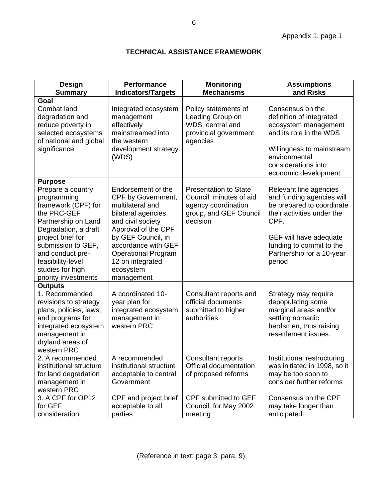## **TECHNICAL ASSISTANCE FRAMEWORK**

| <b>Design</b><br><b>Summary</b>                                                                                                                                                                                                                                         | <b>Performance</b><br><b>Indicators/Targets</b>                                                                                                                                                                                                           | <b>Monitoring</b><br><b>Mechanisms</b>                                                                               | <b>Assumptions</b><br>and Risks                                                                                                                                                                                     |
|-------------------------------------------------------------------------------------------------------------------------------------------------------------------------------------------------------------------------------------------------------------------------|-----------------------------------------------------------------------------------------------------------------------------------------------------------------------------------------------------------------------------------------------------------|----------------------------------------------------------------------------------------------------------------------|---------------------------------------------------------------------------------------------------------------------------------------------------------------------------------------------------------------------|
| Goal<br>Combat land<br>degradation and<br>reduce poverty in<br>selected ecosystems<br>of national and global<br>significance                                                                                                                                            | Integrated ecosystem<br>management<br>effectively<br>mainstreamed into<br>the western<br>development strategy<br>(WDS)                                                                                                                                    | Policy statements of<br>Leading Group on<br>WDS, central and<br>provincial government<br>agencies                    | Consensus on the<br>definition of integrated<br>ecosystem management<br>and its role in the WDS<br>Willingness to mainstream<br>environmental<br>considerations into<br>economic development                        |
| <b>Purpose</b><br>Prepare a country<br>programming<br>framework (CPF) for<br>the PRC-GEF<br>Partnership on Land<br>Degradation, a draft<br>project brief for<br>submission to GEF,<br>and conduct pre-<br>feasibility-level<br>studies for high<br>priority investments | Endorsement of the<br>CPF by Government,<br>multilateral and<br>bilateral agencies,<br>and civil society<br>Approval of the CPF<br>by GEF Council, in<br>accordance with GEF<br><b>Operational Program</b><br>12 on integrated<br>ecosystem<br>management | <b>Presentation to State</b><br>Council, minutes of aid<br>agency coordination<br>group, and GEF Council<br>decision | Relevant line agencies<br>and funding agencies will<br>be prepared to coordinate<br>their activities under the<br>CPF.<br>GEF will have adequate<br>funding to commit to the<br>Partnership for a 10-year<br>period |
| <b>Outputs</b><br>1. Recommended<br>revisions to strategy<br>plans, policies, laws,<br>and programs for<br>integrated ecosystem<br>management in<br>dryland areas of<br>western PRC<br>2. A recommended                                                                 | A coordinated 10-<br>year plan for<br>integrated ecosystem<br>management in<br>western PRC<br>A recommended                                                                                                                                               | Consultant reports and<br>official documents<br>submitted to higher<br>authorities<br><b>Consultant reports</b>      | Strategy may require<br>depopulating some<br>marginal areas and/or<br>settling nomadic<br>herdsmen, thus raising<br>resettlement issues.<br>Institutional restructuring                                             |
| institutional structure<br>for land degradation<br>management in<br>western PRC<br>3. A CPF for OP12<br>for GEF<br>consideration                                                                                                                                        | institutional structure<br>acceptable to central<br>Government<br>CPF and project brief<br>acceptable to all<br>parties                                                                                                                                   | Official documentation<br>of proposed reforms<br>CPF submitted to GEF<br>Council, for May 2002<br>meeting            | was initiated in 1998, so it<br>may be too soon to<br>consider further reforms<br>Consensus on the CPF<br>may take longer than<br>anticipated.                                                                      |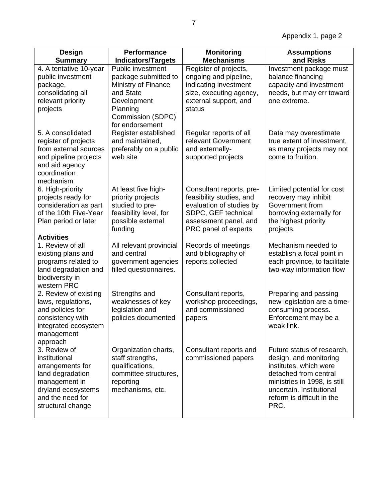Appendix 1, page 2

| <b>Design</b><br><b>Summary</b>                                                                                                                                   | <b>Performance</b><br><b>Indicators/Targets</b>                                                                                                  | <b>Monitoring</b><br><b>Mechanisms</b>                                                                                                                   | <b>Assumptions</b><br>and Risks                                                                                                                                                                           |
|-------------------------------------------------------------------------------------------------------------------------------------------------------------------|--------------------------------------------------------------------------------------------------------------------------------------------------|----------------------------------------------------------------------------------------------------------------------------------------------------------|-----------------------------------------------------------------------------------------------------------------------------------------------------------------------------------------------------------|
| 4. A tentative 10-year<br>public investment<br>package,<br>consolidating all<br>relevant priority<br>projects                                                     | Public investment<br>package submitted to<br>Ministry of Finance<br>and State<br>Development<br>Planning<br>Commission (SDPC)<br>for endorsement | Register of projects,<br>ongoing and pipeline,<br>indicating investment<br>size, executing agency,<br>external support, and<br>status                    | Investment package must<br>balance financing<br>capacity and investment<br>needs, but may err toward<br>one extreme.                                                                                      |
| 5. A consolidated<br>register of projects<br>from external sources<br>and pipeline projects<br>and aid agency<br>coordination<br>mechanism                        | Register established<br>and maintained,<br>preferably on a public<br>web site                                                                    | Regular reports of all<br>relevant Government<br>and externally-<br>supported projects                                                                   | Data may overestimate<br>true extent of investment,<br>as many projects may not<br>come to fruition.                                                                                                      |
| 6. High-priority<br>projects ready for<br>consideration as part<br>of the 10th Five-Year<br>Plan period or later                                                  | At least five high-<br>priority projects<br>studied to pre-<br>feasibility level, for<br>possible external<br>funding                            | Consultant reports, pre-<br>feasibility studies, and<br>evaluation of studies by<br>SDPC, GEF technical<br>assessment panel, and<br>PRC panel of experts | Limited potential for cost<br>recovery may inhibit<br>Government from<br>borrowing externally for<br>the highest priority<br>projects.                                                                    |
| <b>Activities</b><br>1. Review of all<br>existing plans and<br>programs related to<br>land degradation and<br>biodiversity in<br>western PRC                      | All relevant provincial<br>and central<br>government agencies<br>filled questionnaires.                                                          | Records of meetings<br>and bibliography of<br>reports collected                                                                                          | Mechanism needed to<br>establish a focal point in<br>each province, to facilitate<br>two-way information flow                                                                                             |
| 2. Review of existing<br>laws, regulations,<br>and policies for<br>consistency with<br>integrated ecosystem<br>management                                         | Strengths and<br>weaknesses of key<br>legislation and<br>policies documented                                                                     | Consultant reports,<br>workshop proceedings,<br>and commissioned<br>papers                                                                               | Preparing and passing<br>new legislation are a time-<br>consuming process.<br>Enforcement may be a<br>weak link.                                                                                          |
| approach<br>3. Review of<br>institutional<br>arrangements for<br>land degradation<br>management in<br>dryland ecosystems<br>and the need for<br>structural change | Organization charts,<br>staff strengths,<br>qualifications,<br>committee structures,<br>reporting<br>mechanisms, etc.                            | Consultant reports and<br>commissioned papers                                                                                                            | Future status of research,<br>design, and monitoring<br>institutes, which were<br>detached from central<br>ministries in 1998, is still<br>uncertain. Institutional<br>reform is difficult in the<br>PRC. |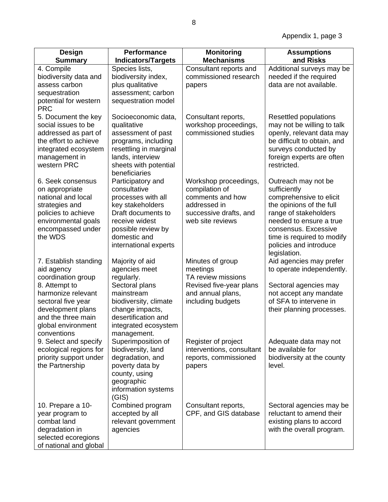| <b>Design</b><br><b>Summary</b>                                                                                                                                                                        | <b>Performance</b><br><b>Indicators/Targets</b>                                                                                                                                          | <b>Monitoring</b><br><b>Mechanisms</b>                                                                                    | <b>Assumptions</b><br>and Risks                                                                                                                                                                                                                |
|--------------------------------------------------------------------------------------------------------------------------------------------------------------------------------------------------------|------------------------------------------------------------------------------------------------------------------------------------------------------------------------------------------|---------------------------------------------------------------------------------------------------------------------------|------------------------------------------------------------------------------------------------------------------------------------------------------------------------------------------------------------------------------------------------|
| 4. Compile<br>biodiversity data and<br>assess carbon<br>sequestration<br>potential for western<br><b>PRC</b>                                                                                           | Species lists,<br>biodiversity index,<br>plus qualitative<br>assessment; carbon<br>sequestration model                                                                                   | Consultant reports and<br>commissioned research<br>papers                                                                 | Additional surveys may be<br>needed if the required<br>data are not available.                                                                                                                                                                 |
| 5. Document the key<br>social issues to be<br>addressed as part of<br>the effort to achieve<br>integrated ecosystem<br>management in<br>western PRC                                                    | Socioeconomic data,<br>qualitative<br>assessment of past<br>programs, including<br>resettling in marginal<br>lands, interview<br>sheets with potential<br>beneficiaries                  | Consultant reports,<br>workshop proceedings,<br>commissioned studies                                                      | Resettled populations<br>may not be willing to talk<br>openly, relevant data may<br>be difficult to obtain, and<br>surveys conducted by<br>foreign experts are often<br>restricted.                                                            |
| 6. Seek consensus<br>on appropriate<br>national and local<br>strategies and<br>policies to achieve<br>environmental goals<br>encompassed under<br>the WDS                                              | Participatory and<br>consultative<br>processes with all<br>key stakeholders<br>Draft documents to<br>receive widest<br>possible review by<br>domestic and<br>international experts       | Workshop proceedings,<br>compilation of<br>comments and how<br>addressed in<br>successive drafts, and<br>web site reviews | Outreach may not be<br>sufficiently<br>comprehensive to elicit<br>the opinions of the full<br>range of stakeholders<br>needed to ensure a true<br>consensus. Excessive<br>time is required to modify<br>policies and introduce<br>legislation. |
| 7. Establish standing<br>aid agency<br>coordination group<br>8. Attempt to<br>harmonize relevant<br>sectoral five year<br>development plans<br>and the three main<br>global environment<br>conventions | Majority of aid<br>agencies meet<br>regularly.<br>Sectoral plans<br>mainstream<br>biodiversity, climate<br>change impacts,<br>desertification and<br>integrated ecosystem<br>management. | Minutes of group<br>meetings<br>TA review missions<br>Revised five-year plans<br>and annual plans,<br>including budgets   | Aid agencies may prefer<br>to operate independently.<br>Sectoral agencies may<br>not accept any mandate<br>of SFA to intervene in<br>their planning processes.                                                                                 |
| 9. Select and specify<br>ecological regions for<br>priority support under<br>the Partnership                                                                                                           | Superimposition of<br>biodiversity, land<br>degradation, and<br>poverty data by<br>county, using<br>geographic<br>information systems<br>(GIS)                                           | Register of project<br>interventions, consultant<br>reports, commissioned<br>papers                                       | Adequate data may not<br>be available for<br>biodiversity at the county<br>level.                                                                                                                                                              |
| 10. Prepare a 10-<br>year program to<br>combat land<br>degradation in<br>selected ecoregions<br>of national and global                                                                                 | Combined program<br>accepted by all<br>relevant government<br>agencies                                                                                                                   | Consultant reports,<br>CPF, and GIS database                                                                              | Sectoral agencies may be<br>reluctant to amend their<br>existing plans to accord<br>with the overall program.                                                                                                                                  |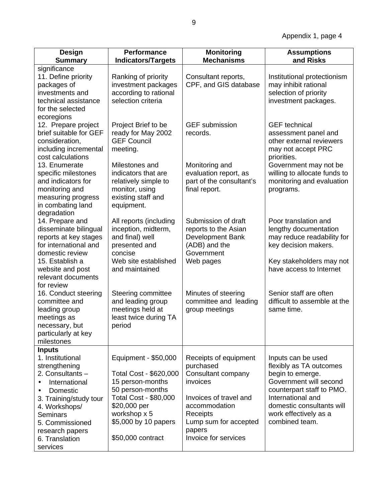| <b>Design</b><br><b>Summary</b>                                                                                                                                                                                                                                 | <b>Performance</b><br><b>Indicators/Targets</b>                                                                                                                                                     | <b>Monitoring</b><br><b>Mechanisms</b>                                                                                                                                                 | <b>Assumptions</b><br>and Risks                                                                                                                                                                                       |
|-----------------------------------------------------------------------------------------------------------------------------------------------------------------------------------------------------------------------------------------------------------------|-----------------------------------------------------------------------------------------------------------------------------------------------------------------------------------------------------|----------------------------------------------------------------------------------------------------------------------------------------------------------------------------------------|-----------------------------------------------------------------------------------------------------------------------------------------------------------------------------------------------------------------------|
| significance<br>11. Define priority<br>packages of<br>investments and<br>technical assistance<br>for the selected                                                                                                                                               | Ranking of priority<br>investment packages<br>according to rational<br>selection criteria                                                                                                           | Consultant reports,<br>CPF, and GIS database                                                                                                                                           | Institutional protectionism<br>may inhibit rational<br>selection of priority<br>investment packages.                                                                                                                  |
| ecoregions<br>12. Prepare project<br>brief suitable for GEF<br>consideration,<br>including incremental<br>cost calculations<br>13. Enumerate<br>specific milestones<br>and indicators for<br>monitoring and<br>measuring progress<br>in combating land          | Project Brief to be<br>ready for May 2002<br><b>GEF Council</b><br>meeting.<br>Milestones and<br>indicators that are<br>relatively simple to<br>monitor, using<br>existing staff and<br>equipment.  | <b>GEF</b> submission<br>records.<br>Monitoring and<br>evaluation report, as<br>part of the consultant's<br>final report.                                                              | <b>GEF</b> technical<br>assessment panel and<br>other external reviewers<br>may not accept PRC<br>priorities.<br>Government may not be<br>willing to allocate funds to<br>monitoring and evaluation<br>programs.      |
| degradation<br>14. Prepare and<br>disseminate bilingual<br>reports at key stages<br>for international and<br>domestic review<br>15. Establish a<br>website and post<br>relevant documents                                                                       | All reports (including<br>inception, midterm,<br>and final) well<br>presented and<br>concise<br>Web site established<br>and maintained                                                              | Submission of draft<br>reports to the Asian<br>Development Bank<br>(ADB) and the<br>Government<br>Web pages                                                                            | Poor translation and<br>lengthy documentation<br>may reduce readability for<br>key decision makers.<br>Key stakeholders may not<br>have access to Internet                                                            |
| for review<br>16. Conduct steering<br>committee and<br>leading group<br>meetings as<br>necessary, but<br>particularly at key<br>milestones                                                                                                                      | Steering committee<br>and leading group<br>meetings held at<br>least twice during TA<br>period                                                                                                      | Minutes of steering<br>committee and leading<br>group meetings                                                                                                                         | Senior staff are often<br>difficult to assemble at the<br>same time.                                                                                                                                                  |
| <b>Inputs</b><br>1. Institutional<br>strengthening<br>2. Consultants -<br>International<br>$\bullet$<br>Domestic<br>$\bullet$<br>3. Training/study tour<br>4. Workshops/<br><b>Seminars</b><br>5. Commissioned<br>research papers<br>6. Translation<br>services | Equipment - \$50,000<br>Total Cost - \$620,000<br>15 person-months<br>50 person-months<br><b>Total Cost - \$80,000</b><br>\$20,000 per<br>workshop x 5<br>\$5,000 by 10 papers<br>\$50,000 contract | Receipts of equipment<br>purchased<br>Consultant company<br>invoices<br>Invoices of travel and<br>accommodation<br>Receipts<br>Lump sum for accepted<br>papers<br>Invoice for services | Inputs can be used<br>flexibly as TA outcomes<br>begin to emerge.<br>Government will second<br>counterpart staff to PMO.<br>International and<br>domestic consultants will<br>work effectively as a<br>combined team. |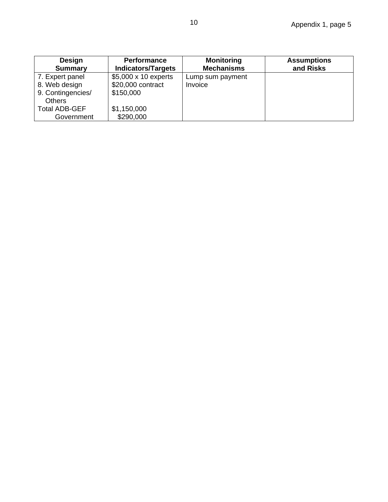| Design<br><b>Summary</b> | <b>Performance</b><br><b>Indicators/Targets</b> | <b>Monitoring</b><br><b>Mechanisms</b> | <b>Assumptions</b><br>and Risks |
|--------------------------|-------------------------------------------------|----------------------------------------|---------------------------------|
| 7. Expert panel          | $$5,000 \times 10$ experts                      | Lump sum payment                       |                                 |
| 8. Web design            | \$20,000 contract                               | Invoice                                |                                 |
| 9. Contingencies/        | \$150,000                                       |                                        |                                 |
| <b>Others</b>            |                                                 |                                        |                                 |
| <b>Total ADB-GEF</b>     | \$1,150,000                                     |                                        |                                 |
| Government               | \$290,000                                       |                                        |                                 |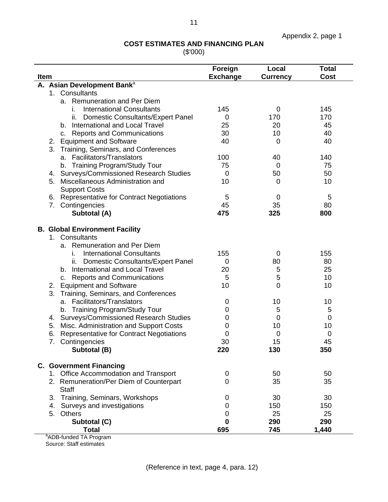## **COST ESTIMATES AND FINANCING PLAN**

(\$'000)

| Item |                                                         | Foreign<br><b>Exchange</b> | Local<br><b>Currency</b> | <b>Total</b><br>Cost |
|------|---------------------------------------------------------|----------------------------|--------------------------|----------------------|
|      | A. Asian Development Bank <sup>a</sup>                  |                            |                          |                      |
|      | 1. Consultants                                          |                            |                          |                      |
|      | a. Remuneration and Per Diem                            |                            |                          |                      |
|      | <b>International Consultants</b><br>Τ.                  | 145                        | 0                        | 145                  |
|      | <b>Domestic Consultants/Expert Panel</b><br>ii.         | 0                          | 170                      | 170                  |
|      | b. International and Local Travel                       | 25                         | 20                       | 45                   |
|      | <b>Reports and Communications</b><br>C.                 | 30                         | 10                       | 40                   |
|      | <b>Equipment and Software</b><br>2.                     | 40                         | 0                        | 40                   |
|      | 3. Training, Seminars, and Conferences                  |                            |                          |                      |
|      | Facilitators/Translators<br>а.                          | 100                        | 40                       | 140                  |
|      | b. Training Program/Study Tour                          | 75                         | 0                        | 75                   |
|      | 4. Surveys/Commissioned Research Studies                | 0                          | 50                       | 50                   |
|      | Miscellaneous Administration and<br>5.                  | 10                         | 0                        | 10                   |
|      | <b>Support Costs</b>                                    |                            |                          |                      |
|      | <b>Representative for Contract Negotiations</b><br>6.   | 5                          | 0                        | 5                    |
|      | Contingencies<br>7.                                     | 45                         | 35                       | 80                   |
|      | Subtotal (A)                                            | 475                        | 325                      | 800                  |
|      | <b>B. Global Environment Facility</b>                   |                            |                          |                      |
|      | 1. Consultants                                          |                            |                          |                      |
|      | Remuneration and Per Diem<br>а.                         |                            |                          |                      |
|      | <b>International Consultants</b><br>Τ.                  | 155                        | 0                        | 155                  |
|      | <b>Domestic Consultants/Expert Panel</b><br>Ш.          | 0                          | 80                       | 80                   |
|      | <b>International and Local Travel</b><br>b.             | 20                         | 5                        | 25                   |
|      | <b>Reports and Communications</b><br>C.                 | 5                          | 5                        | 10                   |
|      | <b>Equipment and Software</b><br>2.                     | 10                         | $\overline{0}$           | 10                   |
|      | 3. Training, Seminars, and Conferences                  |                            |                          |                      |
|      | a. Facilitators/Translators                             | 0                          | 10                       | 10                   |
|      | b. Training Program/Study Tour                          | 0                          | 5                        | 5                    |
|      | <b>Surveys/Commissioned Research Studies</b><br>4.      | 0                          | 0                        | 0                    |
|      | Misc. Administration and Support Costs<br>5.            | 0                          | 10                       | 10                   |
|      | 6.<br><b>Representative for Contract Negotiations</b>   | 0                          | 0                        | 0                    |
|      | 7.<br>Contingencies                                     | 30                         | 15                       | 45                   |
|      | Subtotal (B)                                            | 220                        | 130                      | 350                  |
|      | <b>C. Government Financing</b>                          |                            |                          |                      |
|      | 1. Office Accommodation and Transport                   | 0                          | 50                       | 50                   |
|      | 2. Remuneration/Per Diem of Counterpart<br><b>Staff</b> | 0                          | 35                       | 35                   |
|      | Training, Seminars, Workshops<br>3.                     | 0                          | 30                       | 30                   |
|      | Surveys and investigations<br>4.                        | 0                          | 150                      | 150                  |
|      | <b>Others</b><br>5.                                     | 0                          | 25                       | 25                   |
|      | Subtotal (C)                                            | $\bf{0}$                   | 290                      | 290                  |
|      | <b>Total</b>                                            | 695                        | 745                      | 1,440                |
|      | $a_{\Lambda}$ DD funded TA Dream                        |                            |                          |                      |

aADB-funded TA Program Source: Staff estimates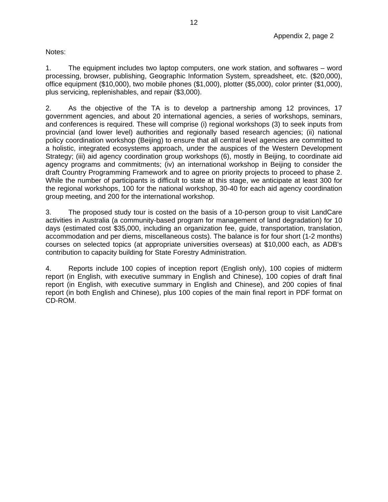Notes:

1. The equipment includes two laptop computers, one work station, and softwares – word processing, browser, publishing, Geographic Information System, spreadsheet, etc. (\$20,000), office equipment (\$10,000), two mobile phones (\$1,000), plotter (\$5,000), color printer (\$1,000), plus servicing, replenishables, and repair (\$3,000).

2. As the objective of the TA is to develop a partnership among 12 provinces, 17 government agencies, and about 20 international agencies, a series of workshops, seminars, and conferences is required. These will comprise (i) regional workshops (3) to seek inputs from provincial (and lower level) authorities and regionally based research agencies; (ii) national policy coordination workshop (Beijing) to ensure that all central level agencies are committed to a holistic, integrated ecosystems approach, under the auspices of the Western Development Strategy; (iii) aid agency coordination group workshops (6), mostly in Beijing, to coordinate aid agency programs and commitments; (iv) an international workshop in Beijing to consider the draft Country Programming Framework and to agree on priority projects to proceed to phase 2. While the number of participants is difficult to state at this stage, we anticipate at least 300 for the regional workshops, 100 for the national workshop, 30-40 for each aid agency coordination group meeting, and 200 for the international workshop.

3. The proposed study tour is costed on the basis of a 10-person group to visit LandCare activities in Australia (a community-based program for management of land degradation) for 10 days (estimated cost \$35,000, including an organization fee, guide, transportation, translation, accommodation and per diems, miscellaneous costs). The balance is for four short (1-2 months) courses on selected topics (at appropriate universities overseas) at \$10,000 each, as ADB's contribution to capacity building for State Forestry Administration.

4. Reports include 100 copies of inception report (English only), 100 copies of midterm report (in English, with executive summary in English and Chinese), 100 copies of draft final report (in English, with executive summary in English and Chinese), and 200 copies of final report (in both English and Chinese), plus 100 copies of the main final report in PDF format on CD-ROM.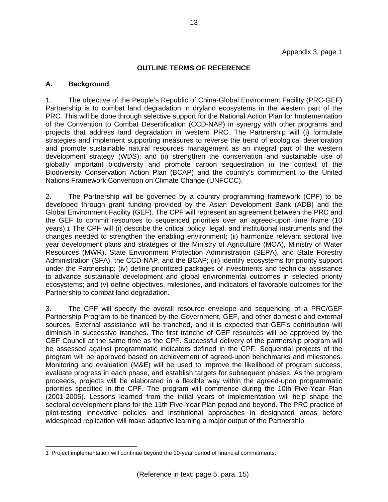#### **OUTLINE TERMS OF REFERENCE**

#### **A. Background**

1. The objective of the People's Republic of China-Global Environment Facility (PRC-GEF) Partnership is to combat land degradation in dryland ecosystems in the western part of the PRC. This will be done through selective support for the National Action Plan for Implementation of the Convention to Combat Desertification (CCD-NAP) in synergy with other programs and projects that address land degradation in western PRC. The Partnership will (i) formulate strategies and implement supporting measures to reverse the trend of ecological deterioration and promote sustainable natural resources management as an integral part of the western development strategy (WDS); and (ii) strengthen the conservation and sustainable use of globally important biodiversity and promote carbon sequestration in the context of the Biodiversity Conservation Action Plan (BCAP) and the country's commitment to the United Nations Framework Convention on Climate Change (UNFCCC).

2. The Partnership will be governed by a country programming framework (CPF) to be developed through grant funding provided by the Asian Development Bank (ADB) and the Global Environment Facility (GEF). The CPF will represent an agreement between the PRC and the GEF to commit resources to sequenced priorities over an agreed-upon time frame (10 years).1 The CPF will (i) describe the critical policy, legal, and institutional instruments and the changes needed to strengthen the enabling environment; (ii) harmonize relevant sectoral five year development plans and strategies of the Ministry of Agriculture (MOA), Ministry of Water Resources (MWR), State Environment Protection Administration (SEPA), and State Forestry Administration (SFA), the CCD-NAP, and the BCAP; (iii) identify ecosystems for priority support under the Partnership; (iv) define prioritized packages of investments and technical assistance to advance sustainable development and global environmental outcomes in selected priority ecosystems; and (v) define objectives, milestones, and indicators of favorable outcomes for the Partnership to combat land degradation.

3. The CPF will specify the overall resource envelope and sequencing of a PRC/GEF Partnership Program to be financed by the Government, GEF, and other domestic and external sources. External assistance will be tranched, and it is expected that GEF's contribution will diminish in successive tranches. The first tranche of GEF resources will be approved by the GEF Council at the same time as the CPF. Successful delivery of the partnership program will be assessed against programmatic indicators defined in the CPF. Sequential projects of the program will be approved based on achievement of agreed-upon benchmarks and milestones. Monitoring and evaluation (M&E) will be used to improve the likelihood of program success, evaluate progress in each phase, and establish targets for subsequent phases. As the program proceeds, projects will be elaborated in a flexible way within the agreed-upon programmatic priorities specified in the CPF. The program will commence during the 10th Five-Year Plan (2001-2005). Lessons learned from the initial years of implementation will help shape the sectoral development plans for the 11th Five-Year Plan period and beyond. The PRC practice of pilot-testing innovative policies and institutional approaches in designated areas before widespread replication will make adaptive learning a major output of the Partnership.

<sup>1</sup> Project implementation will continue beyond the 10-year period of financial commitments.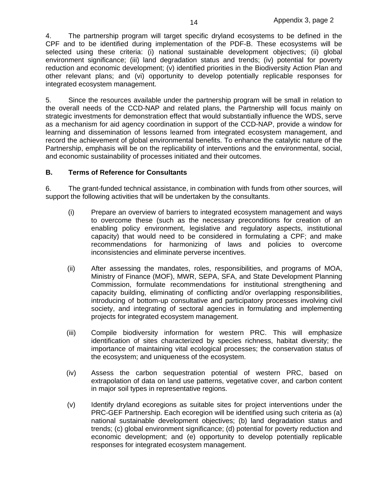4. The partnership program will target specific dryland ecosystems to be defined in the CPF and to be identified during implementation of the PDF-B. These ecosystems will be selected using these criteria: (i) national sustainable development objectives; (ii) global environment significance; (iii) land degradation status and trends; (iv) potential for poverty reduction and economic development; (v) identified priorities in the Biodiversity Action Plan and other relevant plans; and (vi) opportunity to develop potentially replicable responses for integrated ecosystem management.

5. Since the resources available under the partnership program will be small in relation to the overall needs of the CCD-NAP and related plans, the Partnership will focus mainly on strategic investments for demonstration effect that would substantially influence the WDS, serve as a mechanism for aid agency coordination in support of the CCD-NAP, provide a window for learning and dissemination of lessons learned from integrated ecosystem management, and record the achievement of global environmental benefits. To enhance the catalytic nature of the Partnership, emphasis will be on the replicability of interventions and the environmental, social, and economic sustainability of processes initiated and their outcomes.

#### **B. Terms of Reference for Consultants**

6. The grant-funded technical assistance, in combination with funds from other sources, will support the following activities that will be undertaken by the consultants.

- (i) Prepare an overview of barriers to integrated ecosystem management and ways to overcome these (such as the necessary preconditions for creation of an enabling policy environment, legislative and regulatory aspects, institutional capacity) that would need to be considered in formulating a CPF; and make recommendations for harmonizing of laws and policies to overcome inconsistencies and eliminate perverse incentives.
- (ii) After assessing the mandates, roles, responsibilities, and programs of MOA, Ministry of Finance (MOF), MWR, SEPA, SFA, and State Development Planning Commission, formulate recommendations for institutional strengthening and capacity building, eliminating of conflicting and/or overlapping responsibilities, introducing of bottom-up consultative and participatory processes involving civil society, and integrating of sectoral agencies in formulating and implementing projects for integrated ecosystem management.
- (iii) Compile biodiversity information for western PRC. This will emphasize identification of sites characterized by species richness, habitat diversity; the importance of maintaining vital ecological processes; the conservation status of the ecosystem; and uniqueness of the ecosystem.
- (iv) Assess the carbon sequestration potential of western PRC, based on extrapolation of data on land use patterns, vegetative cover, and carbon content in major soil types in representative regions.
- (v) Identify dryland ecoregions as suitable sites for project interventions under the PRC-GEF Partnership. Each ecoregion will be identified using such criteria as (a) national sustainable development objectives; (b) land degradation status and trends; (c) global environment significance; (d) potential for poverty reduction and economic development; and (e) opportunity to develop potentially replicable responses for integrated ecosystem management.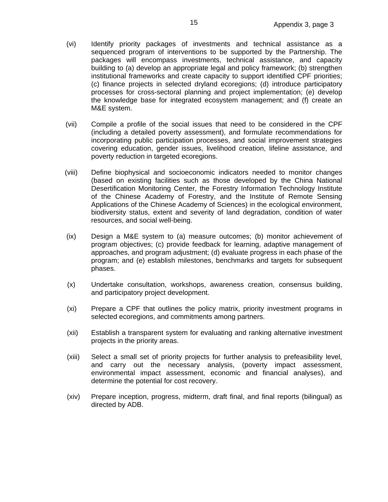- (vi) Identify priority packages of investments and technical assistance as a sequenced program of interventions to be supported by the Partnership. The packages will encompass investments, technical assistance, and capacity building to (a) develop an appropriate legal and policy framework; (b) strengthen institutional frameworks and create capacity to support identified CPF priorities; (c) finance projects in selected dryland ecoregions; (d) introduce participatory processes for cross-sectoral planning and project implementation; (e) develop the knowledge base for integrated ecosystem management; and (f) create an M&E system.
- (vii) Compile a profile of the social issues that need to be considered in the CPF (including a detailed poverty assessment), and formulate recommendations for incorporating public participation processes, and social improvement strategies covering education, gender issues, livelihood creation, lifeline assistance, and poverty reduction in targeted ecoregions.
- (viii) Define biophysical and socioeconomic indicators needed to monitor changes (based on existing facilities such as those developed by the China National Desertification Monitoring Center, the Forestry Information Technology Institute of the Chinese Academy of Forestry, and the Institute of Remote Sensing Applications of the Chinese Academy of Sciences) in the ecological environment, biodiversity status, extent and severity of land degradation, condition of water resources, and social well-being.
- (ix) Design a M&E system to (a) measure outcomes; (b) monitor achievement of program objectives; (c) provide feedback for learning, adaptive management of approaches, and program adjustment; (d) evaluate progress in each phase of the program; and (e) establish milestones, benchmarks and targets for subsequent phases.
- (x) Undertake consultation, workshops, awareness creation, consensus building, and participatory project development.
- (xi) Prepare a CPF that outlines the policy matrix, priority investment programs in selected ecoregions, and commitments among partners.
- (xii) Establish a transparent system for evaluating and ranking alternative investment projects in the priority areas.
- (xiii) Select a small set of priority projects for further analysis to prefeasibility level, and carry out the necessary analysis, (poverty impact assessment, environmental impact assessment, economic and financial analyses), and determine the potential for cost recovery.
- (xiv) Prepare inception, progress, midterm, draft final, and final reports (bilingual) as directed by ADB.